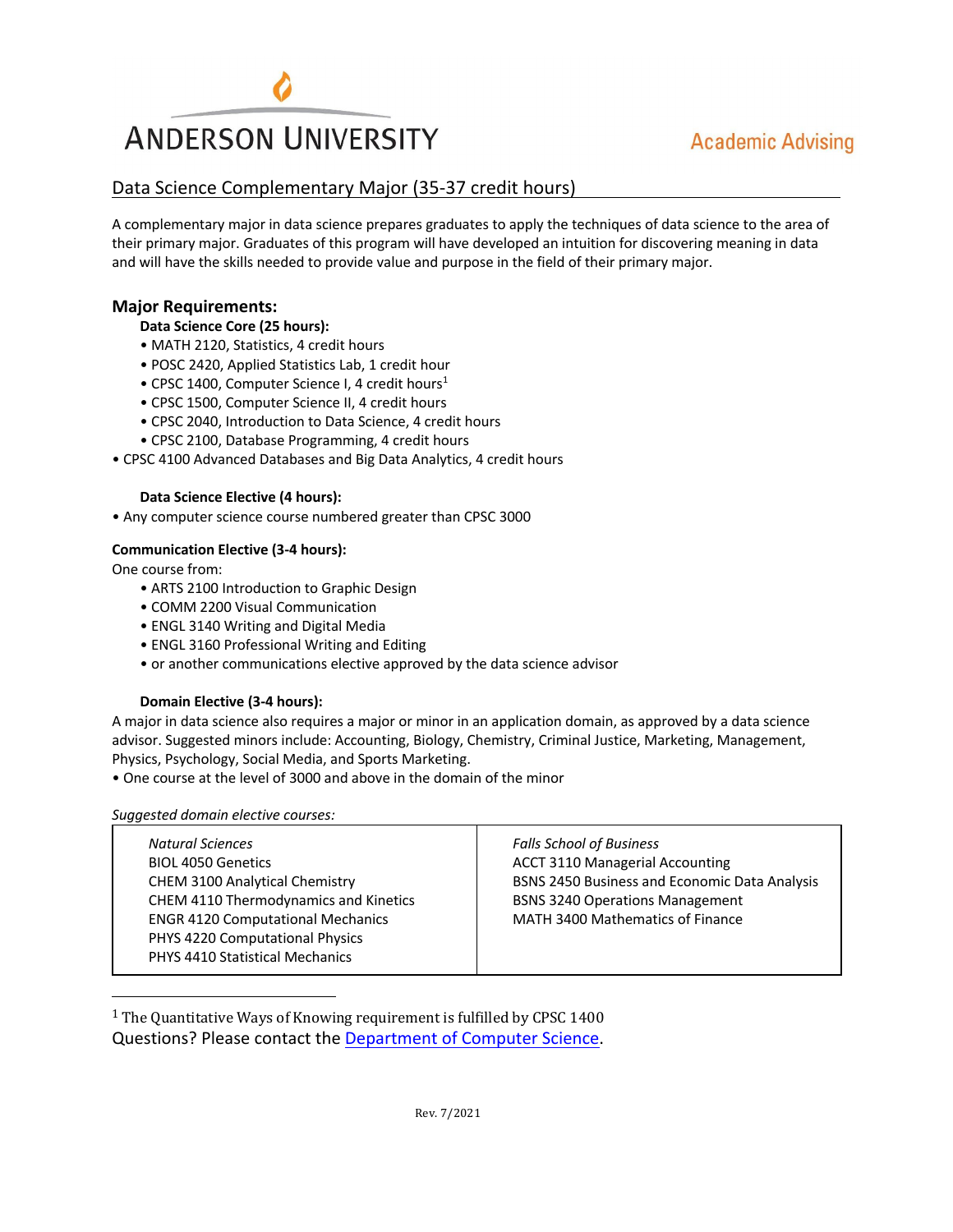

## **Academic Advising**

## Data Science Complementary Major (35-37 credit hours)

A complementary major in data science prepares graduates to apply the techniques of data science to the area of their primary major. Graduates of this program will have developed an intuition for discovering meaning in data and will have the skills needed to provide value and purpose in the field of their primary major.

### **Major Requirements:**

#### **Data Science Core (25 hours):**

- MATH 2120, Statistics, 4 credit hours
- POSC 2420, Applied Statistics Lab, 1 credit hour
- CPSC 1400, Computer Science I, 4 credit hours<sup>1</sup>
- CPSC 1500, Computer Science II, 4 credit hours
- CPSC 2040, Introduction to Data Science, 4 credit hours
- CPSC 2100, Database Programming, 4 credit hours
- CPSC 4100 Advanced Databases and Big Data Analytics, 4 credit hours

#### **Data Science Elective (4 hours):**

• Any computer science course numbered greater than CPSC 3000

#### **Communication Elective (3-4 hours):**

One course from:

- ARTS 2100 Introduction to Graphic Design
- COMM 2200 Visual Communication
- ENGL 3140 Writing and Digital Media
- ENGL 3160 Professional Writing and Editing
- or another communications elective approved by the data science advisor

#### **Domain Elective (3-4 hours):**

A major in data science also requires a major or minor in an application domain, as approved by a data science advisor. Suggested minors include: Accounting, Biology, Chemistry, Criminal Justice, Marketing, Management, Physics, Psychology, Social Media, and Sports Marketing.

• One course at the level of 3000 and above in the domain of the minor

*Suggested domain elective courses:*

| <b>Natural Sciences</b><br><b>BIOL 4050 Genetics</b><br>CHEM 3100 Analytical Chemistry<br>CHEM 4110 Thermodynamics and Kinetics<br><b>ENGR 4120 Computational Mechanics</b><br>PHYS 4220 Computational Physics | <b>Falls School of Business</b><br><b>ACCT 3110 Managerial Accounting</b><br>BSNS 2450 Business and Economic Data Analysis<br><b>BSNS 3240 Operations Management</b><br>MATH 3400 Mathematics of Finance |
|----------------------------------------------------------------------------------------------------------------------------------------------------------------------------------------------------------------|----------------------------------------------------------------------------------------------------------------------------------------------------------------------------------------------------------|
| <b>PHYS 4410 Statistical Mechanics</b>                                                                                                                                                                         |                                                                                                                                                                                                          |

Questions? Please contact the Department of Computer Science.  $1$  The Quantitative Ways of Knowing requirement is fulfilled by CPSC 1400